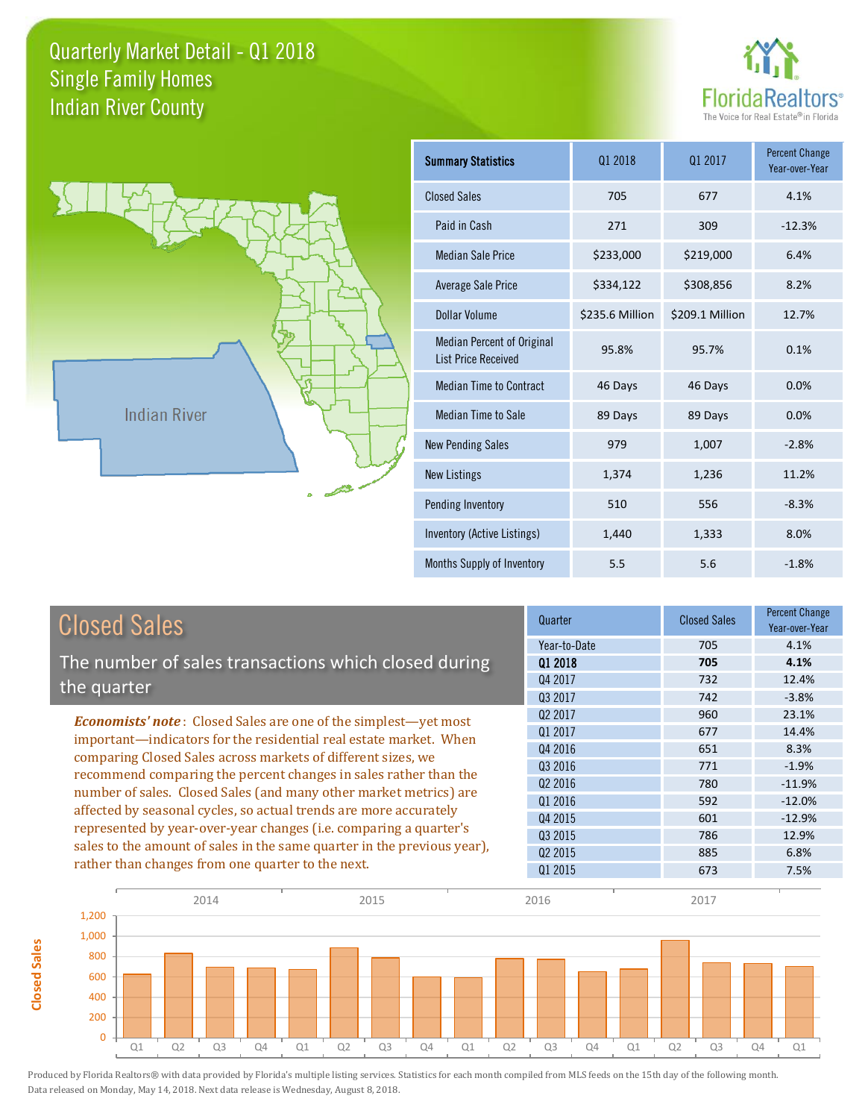



**Closed Sales**

**Closed Sales** 

| <b>Summary Statistics</b>                                       | 01 2018         | 01 2017         | <b>Percent Change</b><br>Year-over-Year |
|-----------------------------------------------------------------|-----------------|-----------------|-----------------------------------------|
| <b>Closed Sales</b>                                             | 705             | 677             | 4.1%                                    |
| Paid in Cash                                                    | 271             | 309             | $-12.3%$                                |
| <b>Median Sale Price</b>                                        | \$233,000       | \$219,000       | 6.4%                                    |
| Average Sale Price                                              | \$334,122       | \$308,856       | 8.2%                                    |
| Dollar Volume                                                   | \$235.6 Million | \$209.1 Million | 12.7%                                   |
| <b>Median Percent of Original</b><br><b>List Price Received</b> | 95.8%           | 95.7%           | 0.1%                                    |
| <b>Median Time to Contract</b>                                  | 46 Days         | 46 Days         | 0.0%                                    |
| <b>Median Time to Sale</b>                                      | 89 Days         | 89 Days         | 0.0%                                    |
| <b>New Pending Sales</b>                                        | 979             | 1,007           | $-2.8%$                                 |
| <b>New Listings</b>                                             | 1,374           | 1,236           | 11.2%                                   |
| Pending Inventory                                               | 510             | 556             | $-8.3%$                                 |
| Inventory (Active Listings)                                     | 1,440           | 1,333           | 8.0%                                    |
| Months Supply of Inventory                                      | 5.5             | 5.6             | $-1.8%$                                 |

| <b>Closed Sales</b>                                                                                                              | Quarter             | <b>Closed Sales</b> | <b>Percent Change</b><br>Year-over-Year |
|----------------------------------------------------------------------------------------------------------------------------------|---------------------|---------------------|-----------------------------------------|
|                                                                                                                                  | Year-to-Date        | 705                 | 4.1%                                    |
| The number of sales transactions which closed during                                                                             | 01 2018             | 705                 | 4.1%                                    |
| the quarter                                                                                                                      | Q4 2017             | 732                 | 12.4%                                   |
|                                                                                                                                  | Q3 2017             | 742                 | $-3.8%$                                 |
| <b>Economists' note:</b> Closed Sales are one of the simplest—yet most                                                           | Q <sub>2</sub> 2017 | 960                 | 23.1%                                   |
| important—indicators for the residential real estate market. When                                                                | 01 2017             | 677                 | 14.4%                                   |
| comparing Closed Sales across markets of different sizes, we<br>recommend comparing the percent changes in sales rather than the | Q4 2016             | 651                 | 8.3%                                    |
|                                                                                                                                  | 03 2016             | 771                 | $-1.9%$                                 |
|                                                                                                                                  | 02 2016             | 780                 | $-11.9%$                                |
| number of sales. Closed Sales (and many other market metrics) are                                                                | Q1 2016             | 592                 | $-12.0%$                                |
| affected by seasonal cycles, so actual trends are more accurately                                                                | Q4 2015             | 601                 | $-12.9%$                                |
| represented by year-over-year changes (i.e. comparing a quarter's                                                                | 03 2015             | 786                 | 12.9%                                   |
| sales to the amount of sales in the same quarter in the previous year),                                                          | 02 2015             | 885                 | 6.8%                                    |
| rather than changes from one quarter to the next.                                                                                | Q1 2015             | 673                 | 7.5%                                    |

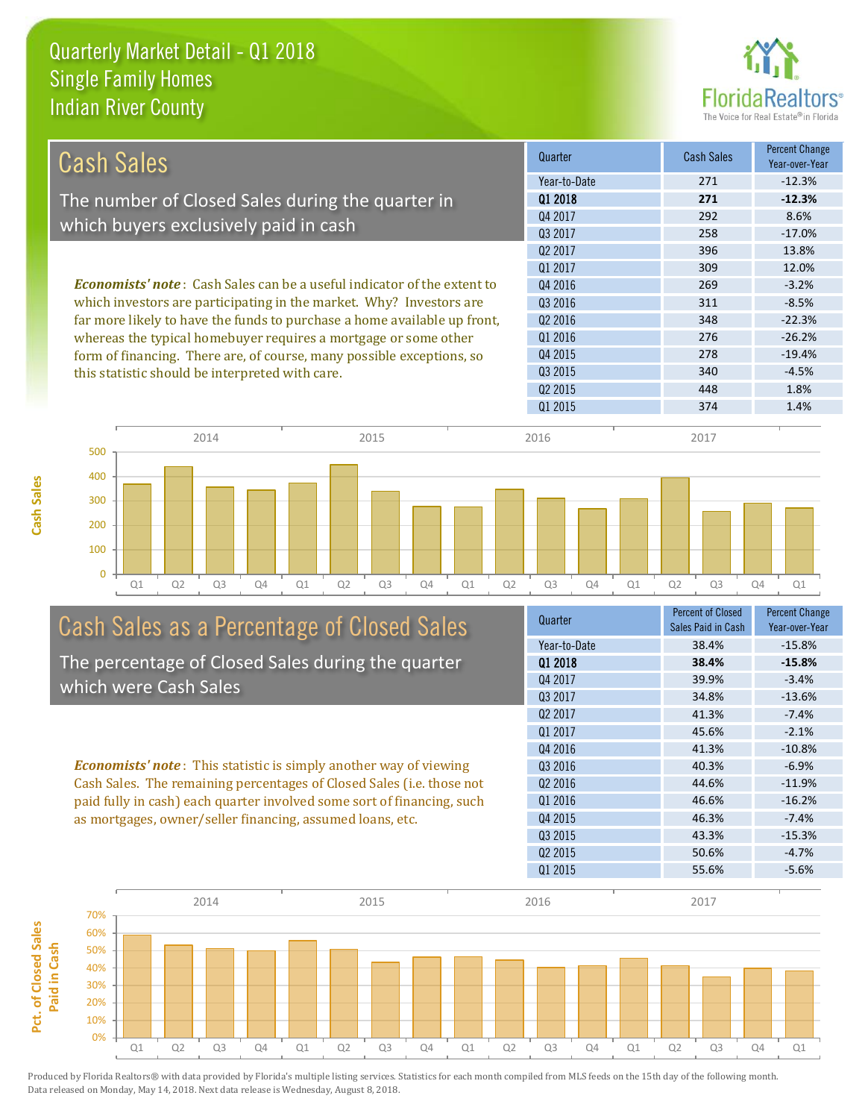

| Cash Sales                                                                      | Quarter             | <b>Cash Sales</b> | <b>Percent Change</b><br>Year-over-Year |
|---------------------------------------------------------------------------------|---------------------|-------------------|-----------------------------------------|
|                                                                                 | Year-to-Date        | 271               | $-12.3%$                                |
| The number of Closed Sales during the quarter in                                | 01 2018             | 271               | $-12.3%$                                |
|                                                                                 | Q4 2017             | 292               | 8.6%                                    |
| which buyers exclusively paid in cash                                           | 03 2017             | 258               | $-17.0%$                                |
|                                                                                 | 02 2017             | 396               | 13.8%                                   |
|                                                                                 | 01 2017             | 309               | 12.0%                                   |
| <b>Economists' note</b> : Cash Sales can be a useful indicator of the extent to | Q4 2016             | 269               | $-3.2%$                                 |
| which investors are participating in the market. Why? Investors are             | 03 2016             | 311               | $-8.5%$                                 |
| far more likely to have the funds to purchase a home available up front,        | Q <sub>2</sub> 2016 | 348               | $-22.3%$                                |
| whereas the typical homebuyer requires a mortgage or some other                 | 01 2016             | 276               | $-26.2%$                                |
| form of financing. There are, of course, many possible exceptions, so           | Q4 2015             | 278               | $-19.4%$                                |
| this statistic should be interpreted with care.                                 | 03 2015             | 340               | $-4.5%$                                 |
|                                                                                 | 02 2015             | 448               | 1.8%                                    |



# Cash Sales as a Percentage of Closed Sales

The percentage of Closed Sales during the quarter which were Cash Sales

*Economists' note* : This statistic is simply another way of viewing Cash Sales. The remaining percentages of Closed Sales (i.e. those not paid fully in cash) each quarter involved some sort of financing, such as mortgages, owner/seller financing, assumed loans, etc.



Q1 2015 374 1.4%

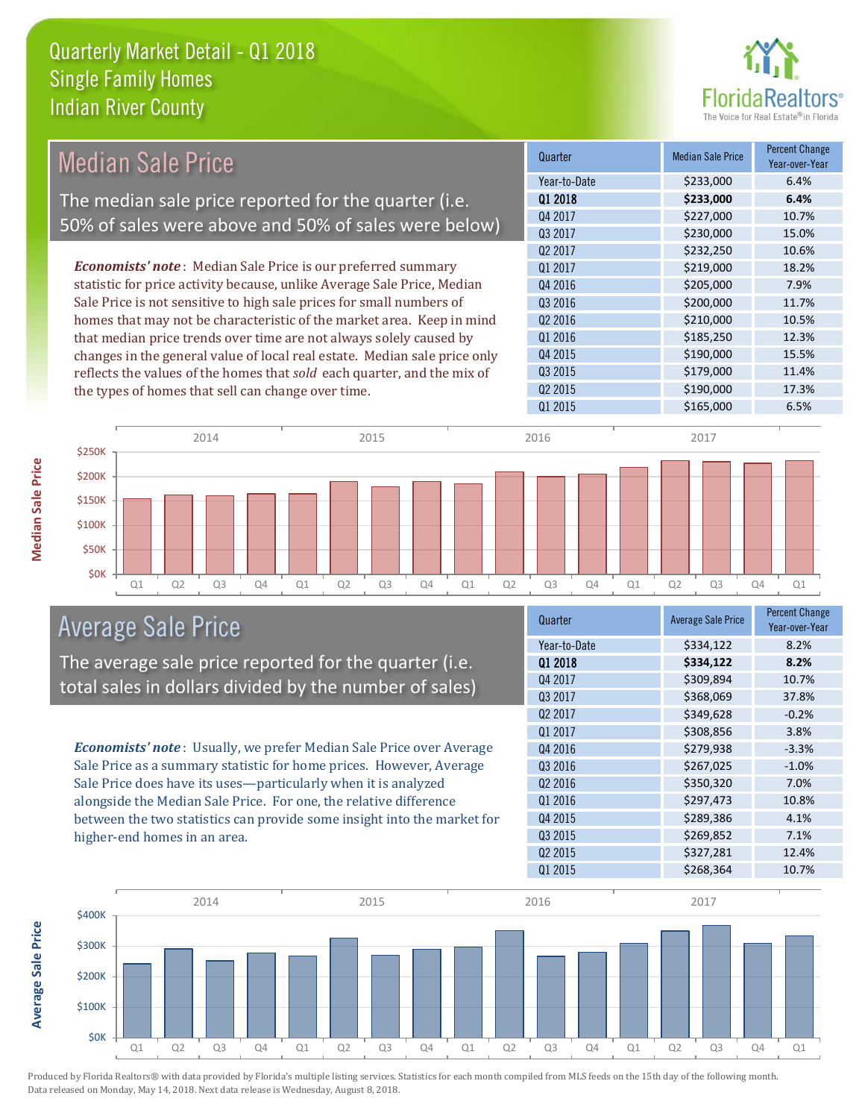

| <b>Median Sale Price</b>                                                  | Quarter             | <b>Median Sale Price</b> | <b>Percent Change</b><br>Year-over-Year |
|---------------------------------------------------------------------------|---------------------|--------------------------|-----------------------------------------|
|                                                                           | Year-to-Date        | \$233,000                | 6.4%                                    |
| The median sale price reported for the quarter (i.e.                      | 01 2018             | \$233,000                | 6.4%                                    |
| 50% of sales were above and 50% of sales were below)                      | Q4 2017             | \$227,000                | 10.7%                                   |
|                                                                           | Q3 2017             | \$230,000                | 15.0%                                   |
|                                                                           | Q <sub>2</sub> 2017 | \$232,250                | 10.6%                                   |
| <b>Economists' note:</b> Median Sale Price is our preferred summary       | Q1 2017             | \$219,000                | 18.2%                                   |
| statistic for price activity because, unlike Average Sale Price, Median   | 04 2016             | \$205,000                | 7.9%                                    |
| Sale Price is not sensitive to high sale prices for small numbers of      | Q3 2016             | \$200,000                | 11.7%                                   |
| homes that may not be characteristic of the market area. Keep in mind     | Q2 2016             | \$210,000                | 10.5%                                   |
| that median price trends over time are not always solely caused by        | Q1 2016             | \$185,250                | 12.3%                                   |
| changes in the general value of local real estate. Median sale price only | Q4 2015             | \$190,000                | 15.5%                                   |
| reflects the values of the homes that sold each quarter, and the mix of   | Q3 2015             | \$179,000                | 11.4%                                   |
| the types of homes that sell can change over time.                        | Q <sub>2</sub> 2015 | \$190,000                | 17.3%                                   |
|                                                                           | Q1 2015             | \$165,000                | 6.5%                                    |
| 2014<br>2015<br>\$250K                                                    | 2016                | 2017                     |                                         |
| \$200K                                                                    |                     |                          |                                         |
| \$150K                                                                    |                     |                          |                                         |
| \$100K                                                                    |                     |                          |                                         |

Q1 Q2 Q3 Q4 Q1 Q2 Q3 Q4 Q1 Q2 Q3 Q4 Q1 Q2 Q3 Q4 Q1

## Average Sale Price

The average sale price reported for the quarter (i.e. total sales in dollars divided by the number of sales)

*Economists' note* : Usually, we prefer Median Sale Price over Average Sale Price as a summary statistic for home prices. However, Average Sale Price does have its uses—particularly when it is analyzed alongside the Median Sale Price. For one, the relative difference between the two statistics can provide some insight into the market for higher-end homes in an area.

| Quarter             | <b>Average Sale Price</b> | <b>Percent Change</b><br>Year-over-Year |
|---------------------|---------------------------|-----------------------------------------|
| Year-to-Date        | \$334,122                 | 8.2%                                    |
| 01 2018             | \$334,122                 | 8.2%                                    |
| Q4 2017             | \$309,894                 | 10.7%                                   |
| Q3 2017             | \$368,069                 | 37.8%                                   |
| 02 2017             | \$349,628                 | $-0.2%$                                 |
| Q1 2017             | \$308,856                 | 3.8%                                    |
| Q4 2016             | \$279,938                 | $-3.3%$                                 |
| Q3 2016             | \$267,025                 | $-1.0%$                                 |
| Q <sub>2</sub> 2016 | \$350,320                 | 7.0%                                    |
| Q1 2016             | \$297,473                 | 10.8%                                   |
| Q4 2015             | \$289,386                 | 4.1%                                    |
| Q3 2015             | \$269,852                 | 7.1%                                    |
| Q <sub>2</sub> 2015 | \$327,281                 | 12.4%                                   |
| Q1 2015             | \$268,364                 | 10.7%                                   |



\$0K \$50K

**Median Sale Price**

**Median Sale Price** 

**Average Sale Price Average Sale Price**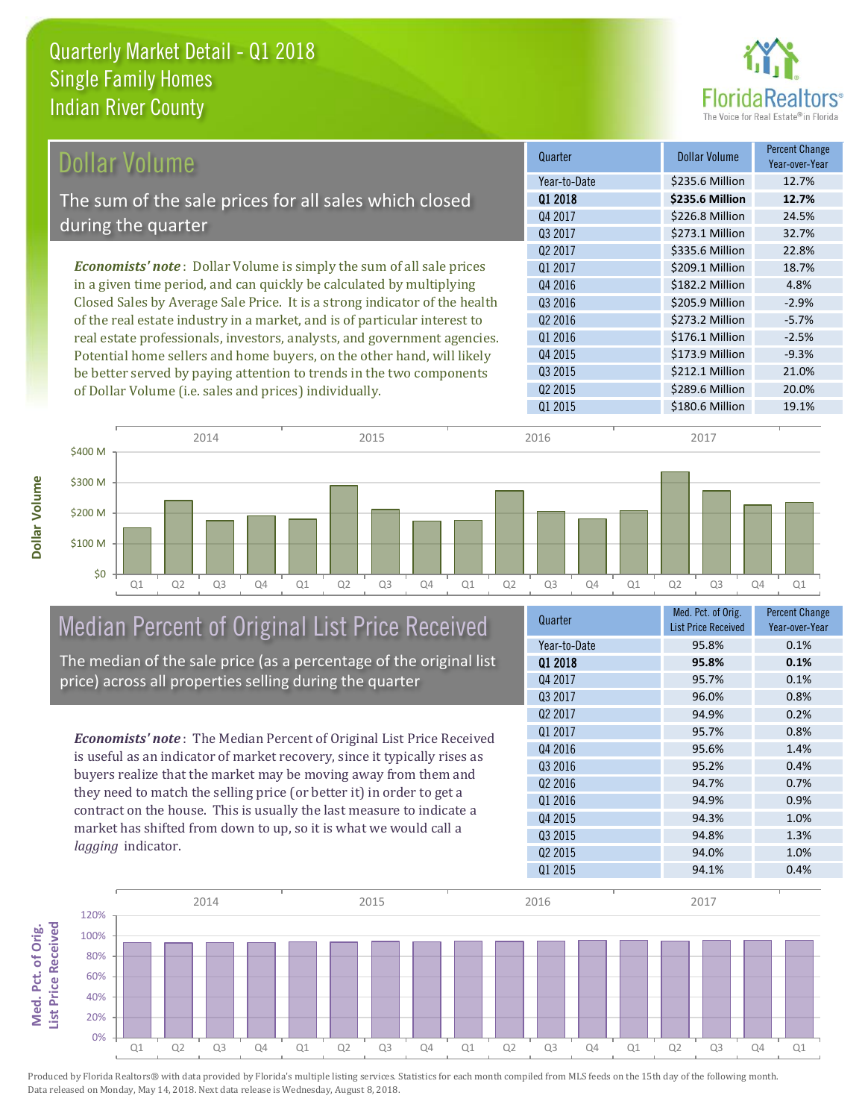

\$212.1 Million 21.0%

Q2 2015 **\$289.6 Million** 20.0%

Q3 2015

Q1 2015 **\$180.6 Million** 19.1%

| Dollar Volume                                                               | Quarter             | <b>Dollar Volume</b> | <b>Percent Change</b><br>Year-over-Year |
|-----------------------------------------------------------------------------|---------------------|----------------------|-----------------------------------------|
|                                                                             | Year-to-Date        | \$235.6 Million      | 12.7%                                   |
| The sum of the sale prices for all sales which closed                       | 01 2018             | \$235.6 Million      | 12.7%                                   |
|                                                                             | Q4 2017             | \$226.8 Million      | 24.5%                                   |
| during the quarter                                                          | 03 2017             | \$273.1 Million      | 32.7%                                   |
|                                                                             | 02 2017             | \$335.6 Million      | 22.8%                                   |
| <b>Economists' note:</b> Dollar Volume is simply the sum of all sale prices | 01 2017             | \$209.1 Million      | 18.7%                                   |
| in a given time period, and can quickly be calculated by multiplying        | Q4 2016             | \$182.2 Million      | 4.8%                                    |
| Closed Sales by Average Sale Price. It is a strong indicator of the health  | Q3 2016             | \$205.9 Million      | $-2.9%$                                 |
| of the real estate industry in a market, and is of particular interest to   | Q <sub>2</sub> 2016 | \$273.2 Million      | $-5.7%$                                 |
| real estate professionals, investors, analysts, and government agencies.    | Q1 2016             | \$176.1 Million      | $-2.5%$                                 |
| Potential home sellers and home buyers, on the other hand, will likely      | 04 2015             | \$173.9 Million      | $-9.3%$                                 |

Q1 Q2 Q3 Q4 Q1 Q2 Q3 Q4 Q1 Q2 Q3 Q4 Q1 Q2 Q3 Q4 Q1 \$0 \$100 M \$200 M \$300 M \$400 M 2014 2015 2016 2017

# Median Percent of Original List Price Received

be better served by paying attention to trends in the two components

of Dollar Volume (i.e. sales and prices) individually.

The median of the sale price (as a percentage of the original list price) across all properties selling during the quarter

*Economists' note* : The Median Percent of Original List Price Received is useful as an indicator of market recovery, since it typically rises as buyers realize that the market may be moving away from them and they need to match the selling price (or better it) in order to get a contract on the house. This is usually the last measure to indicate a market has shifted from down to up, so it is what we would call a *lagging* indicator.

| Quarter             | Med. Pct. of Orig.<br><b>List Price Received</b> | <b>Percent Change</b><br>Year-over-Year |
|---------------------|--------------------------------------------------|-----------------------------------------|
| Year-to-Date        | 95.8%                                            | 0.1%                                    |
| 01 2018             | 95.8%                                            | 0.1%                                    |
| Q4 2017             | 95.7%                                            | 0.1%                                    |
| Q3 2017             | 96.0%                                            | 0.8%                                    |
| Q <sub>2</sub> 2017 | 94.9%                                            | 0.2%                                    |
| Q1 2017             | 95.7%                                            | 0.8%                                    |
| Q4 2016             | 95.6%                                            | 1.4%                                    |
| Q3 2016             | 95.2%                                            | 0.4%                                    |
| 02 2016             | 94.7%                                            | 0.7%                                    |
| Q1 2016             | 94.9%                                            | 0.9%                                    |
| Q4 2015             | 94.3%                                            | 1.0%                                    |
| 03 2015             | 94.8%                                            | 1.3%                                    |
| Q <sub>2</sub> 2015 | 94.0%                                            | 1.0%                                    |
| Q1 2015             | 94.1%                                            | 0.4%                                    |



Produced by Florida Realtors® with data provided by Florida's multiple listing services. Statistics for each month compiled from MLS feeds on the 15th day of the following month. Data released on Monday, May 14, 2018. Next data release is Wednesday, August 8, 2018.

**Med. Pct. of Orig.** 

Med. Pct. of Orig.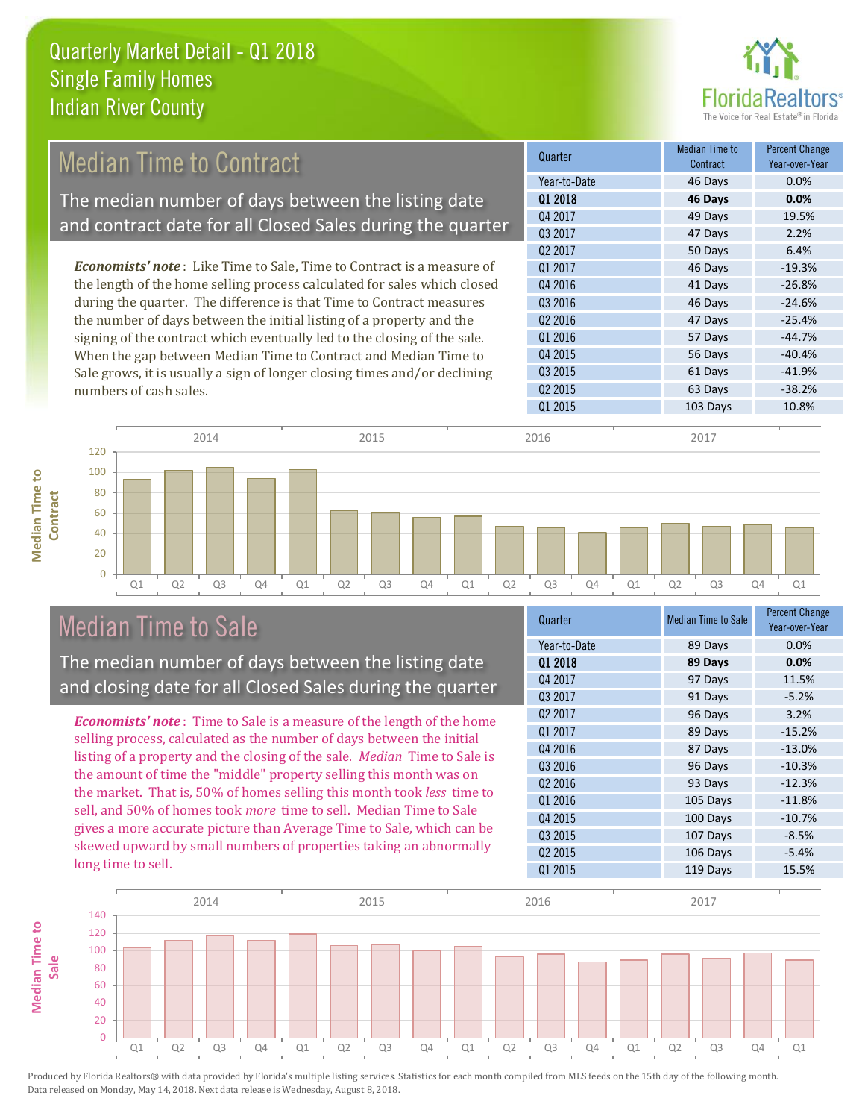

#### *Economists' note* : Like Time to Sale, Time to Contract is a measure of the length of the home selling process calculated for sales which closed during the quarter. The difference is that Time to Contract measures the number of days between the initial listing of a property and the Q1 2017 **46 Days** 46 Days 46 Days Q4 2016 **41 Days** -26.8% Q3 2016 46 Days -24.6% Q2 2016 **47 Days** -25.4% Q1 2016 **57 Days** -44.7% Quarter Median Time to **Median Time to Contract** Percent Change Year-over-Year Q1 2018 **46 Days 0.0%** Year-to-Date 46 Days 0.0% Q4 2017 **49 Days** 19.5% Q3 2017 47 Days 2.2% Q2 2017 50 Days 6.4% Median Time to Contract The median number of days between the listing date and contract date for all Closed Sales during the quarter

signing of the contract which eventually led to the closing of the sale. When the gap between Median Time to Contract and Median Time to Sale grows, it is usually a sign of longer closing times and/or declining numbers of cash sales.

Q2 2015 63 Days -38.2% Q1 2015 103 Days 10.8% 56 Days -40.4% Q3 2015 61 Days -41.9% Q4 2015



# Median Time to Sale

**Median Time to** 

**Median Time to** 

The median number of days between the listing date and closing date for all Closed Sales during the quarter

*Economists' note* : Time to Sale is a measure of the length of the home selling process, calculated as the number of days between the initial listing of a property and the closing of the sale. *Median* Time to Sale is the amount of time the "middle" property selling this month was on the market. That is, 50% of homes selling this month took *less* time to sell, and 50% of homes took *more* time to sell. Median Time to Sale gives a more accurate picture than Average Time to Sale, which can be skewed upward by small numbers of properties taking an abnormally long time to sell.

| Quarter             | <b>Median Time to Sale</b> | Percent Change<br>Year-over-Year |
|---------------------|----------------------------|----------------------------------|
| Year-to-Date        | 89 Days                    | 0.0%                             |
| 01 2018             | 89 Days                    | 0.0%                             |
| Q4 2017             | 97 Days                    | 11.5%                            |
| Q3 2017             | 91 Days                    | $-5.2%$                          |
| Q <sub>2</sub> 2017 | 96 Days                    | 3.2%                             |
| 01 2017             | 89 Days                    | $-15.2%$                         |
| Q4 2016             | 87 Days                    | $-13.0%$                         |
| Q3 2016             | 96 Days                    | $-10.3%$                         |
| Q <sub>2</sub> 2016 | 93 Days                    | $-12.3%$                         |
| Q1 2016             | 105 Days                   | $-11.8%$                         |
| Q4 2015             | 100 Days                   | $-10.7%$                         |
| Q3 2015             | 107 Days                   | $-8.5%$                          |
| Q <sub>2</sub> 2015 | 106 Days                   | $-5.4%$                          |
| Q1 2015             | 119 Days                   | 15.5%                            |

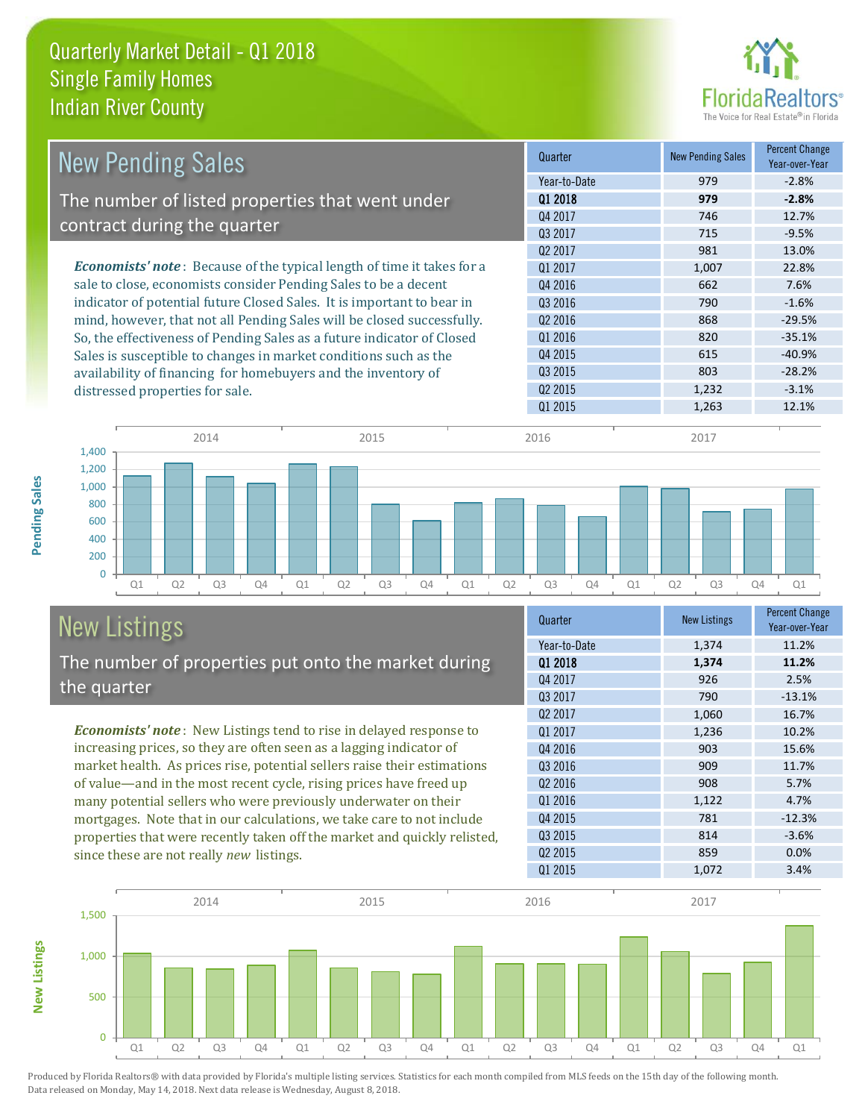

| <b>New Pending Sales</b>                                                      | Quarter             | <b>New Pending Sales</b> | <b>Percent Change</b><br>Year-over-Year |
|-------------------------------------------------------------------------------|---------------------|--------------------------|-----------------------------------------|
|                                                                               | Year-to-Date        | 979                      | $-2.8%$                                 |
| The number of listed properties that went under                               | 01 2018             | 979                      | $-2.8%$                                 |
|                                                                               | Q4 2017             | 746                      | 12.7%                                   |
| contract during the quarter                                                   | 03 2017             | 715                      | $-9.5%$                                 |
|                                                                               | Q <sub>2</sub> 2017 | 981                      | 13.0%                                   |
| <b>Economists' note:</b> Because of the typical length of time it takes for a | 01 2017             | 1,007                    | 22.8%                                   |
| sale to close, economists consider Pending Sales to be a decent               | Q4 2016             | 662                      | 7.6%                                    |
| indicator of potential future Closed Sales. It is important to bear in        | Q3 2016             | 790                      | $-1.6%$                                 |
| mind, however, that not all Pending Sales will be closed successfully.        | Q <sub>2</sub> 2016 | 868                      | $-29.5%$                                |
| So, the effectiveness of Pending Sales as a future indicator of Closed        | Q1 2016             | 820                      | $-35.1%$                                |
| Sales is susceptible to changes in market conditions such as the              | Q4 2015             | 615                      | $-40.9%$                                |
| availability of financing for homebuyers and the inventory of                 | Q3 2015             | 803                      | $-28.2%$                                |
| distressed properties for sale.                                               | Q <sub>2</sub> 2015 | 1,232                    | $-3.1%$                                 |
|                                                                               | Q1 2015             | 1,263                    | 12.1%                                   |



#### New Listings The number of properties put onto the market during the quarter

*Economists' note* : New Listings tend to rise in delayed response to increasing prices, so they are often seen as a lagging indicator of market health. As prices rise, potential sellers raise their estimations of value—and in the most recent cycle, rising prices have freed up many potential sellers who were previously underwater on their mortgages. Note that in our calculations, we take care to not include properties that were recently taken off the market and quickly relisted, since these are not really *new* listings.

| Quarter             | <b>New Listings</b> | <b>Percent Change</b><br>Year-over-Year |
|---------------------|---------------------|-----------------------------------------|
| Year-to-Date        | 1,374               | 11.2%                                   |
| 01 2018             | 1,374               | 11.2%                                   |
| Q4 2017             | 926                 | 2.5%                                    |
| Q3 2017             | 790                 | $-13.1%$                                |
| 02 2017             | 1,060               | 16.7%                                   |
| 01 2017             | 1,236               | 10.2%                                   |
| Q4 2016             | 903                 | 15.6%                                   |
| 03 2016             | 909                 | 11.7%                                   |
| Q <sub>2</sub> 2016 | 908                 | 5.7%                                    |
| Q1 2016             | 1,122               | 4.7%                                    |
| Q4 2015             | 781                 | $-12.3%$                                |
| Q3 2015             | 814                 | $-3.6%$                                 |
| Q <sub>2</sub> 2015 | 859                 | 0.0%                                    |
| Q1 2015             | 1,072               | 3.4%                                    |



Produced by Florida Realtors® with data provided by Florida's multiple listing services. Statistics for each month compiled from MLS feeds on the 15th day of the following month. Data released on Monday, May 14, 2018. Next data release is Wednesday, August 8, 2018.

**New Listings**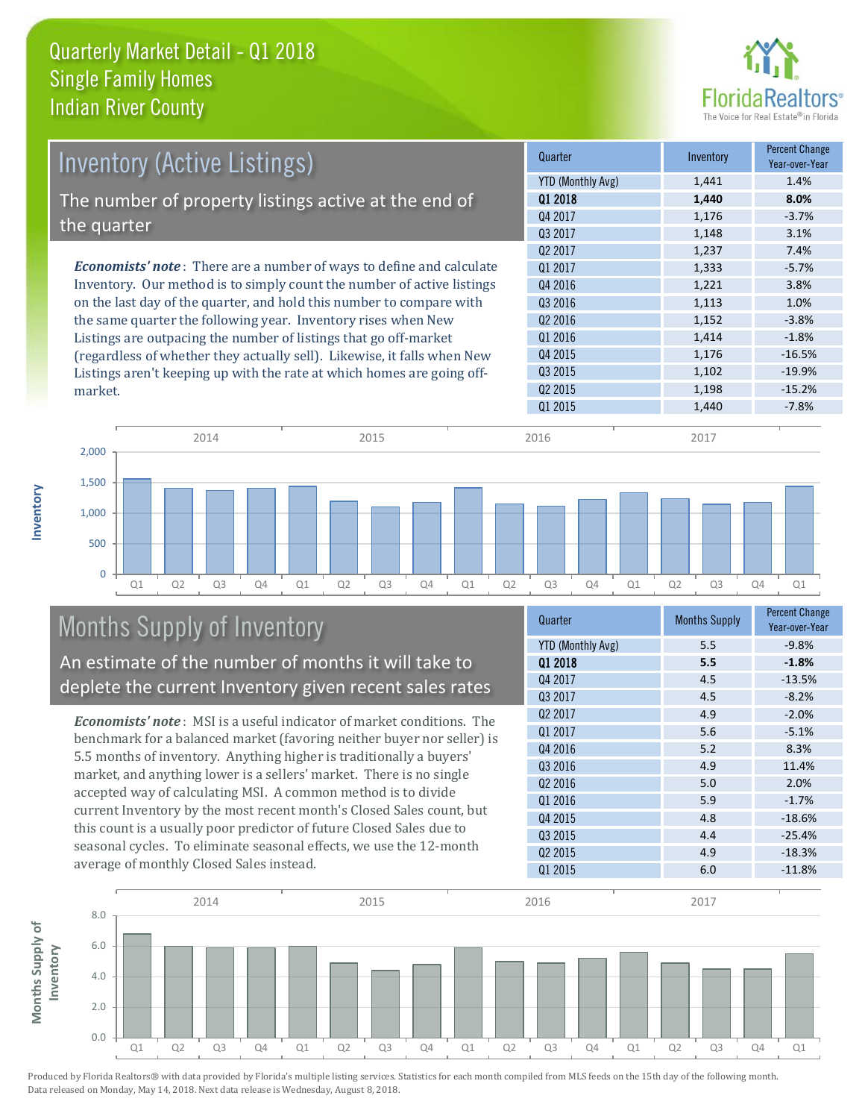

| <b>Inventory (Active Listings)</b>                                           | Quarter             | Inventory | <b>Percent Change</b><br>Year-over-Year |
|------------------------------------------------------------------------------|---------------------|-----------|-----------------------------------------|
|                                                                              | YTD (Monthly Avg)   | 1,441     | 1.4%                                    |
| The number of property listings active at the end of                         | 01 2018             | 1,440     | 8.0%                                    |
|                                                                              | Q4 2017             | 1,176     | $-3.7%$                                 |
| the quarter                                                                  | 03 2017             | 1,148     | 3.1%                                    |
|                                                                              | Q <sub>2</sub> 2017 | 1,237     | 7.4%                                    |
| <b>Economists' note</b> : There are a number of ways to define and calculate | 01 2017             | 1,333     | $-5.7%$                                 |
| Inventory. Our method is to simply count the number of active listings       | Q4 2016             | 1,221     | 3.8%                                    |
| on the last day of the quarter, and hold this number to compare with         | Q3 2016             | 1,113     | 1.0%                                    |
| the same quarter the following year. Inventory rises when New                | Q <sub>2</sub> 2016 | 1,152     | $-3.8%$                                 |
| Listings are outpacing the number of listings that go off-market             | Q1 2016             | 1,414     | $-1.8%$                                 |
| (regardless of whether they actually sell). Likewise, it falls when New      | Q4 2015             | 1,176     | $-16.5%$                                |
| Listings aren't keeping up with the rate at which homes are going off-       | Q3 2015             | 1,102     | $-19.9%$                                |



# Months Supply of Inventory

An estimate of the number of months it will take to deplete the current Inventory given recent sales rates

*Economists' note* : MSI is a useful indicator of market conditions. The benchmark for a balanced market (favoring neither buyer nor seller) is 5.5 months of inventory. Anything higher is traditionally a buyers' market, and anything lower is a sellers' market. There is no single accepted way of calculating MSI. A common method is to divide current Inventory by the most recent month's Closed Sales count, but this count is a usually poor predictor of future Closed Sales due to seasonal cycles. To eliminate seasonal effects, we use the 12-month average of monthly Closed Sales instead.

| Quarter                  | <b>Months Supply</b> | <b>Percent Change</b><br>Year-over-Year |
|--------------------------|----------------------|-----------------------------------------|
| <b>YTD (Monthly Avg)</b> | 5.5                  | $-9.8%$                                 |
| Q1 2018                  | 5.5                  | $-1.8%$                                 |
| Q4 2017                  | 4.5                  | $-13.5%$                                |
| Q3 2017                  | 4.5                  | $-8.2%$                                 |
| Q <sub>2</sub> 2017      | 4.9                  | $-2.0%$                                 |
| 01 2017                  | 5.6                  | $-5.1%$                                 |
| Q4 2016                  | 5.2                  | 8.3%                                    |
| Q3 2016                  | 4.9                  | 11.4%                                   |
| Q <sub>2</sub> 2016      | 5.0                  | 2.0%                                    |
| Q1 2016                  | 5.9                  | $-1.7%$                                 |
| Q4 2015                  | 4.8                  | $-18.6%$                                |
| 03 2015                  | 4.4                  | $-25.4%$                                |
| Q <sub>2</sub> 2015      | 4.9                  | $-18.3%$                                |
| Q1 2015                  | 6.0                  | $-11.8%$                                |

Q1 2015 1,440 -7.8%

Q2 2015 **1,198** -15.2%



**Inventory**

market.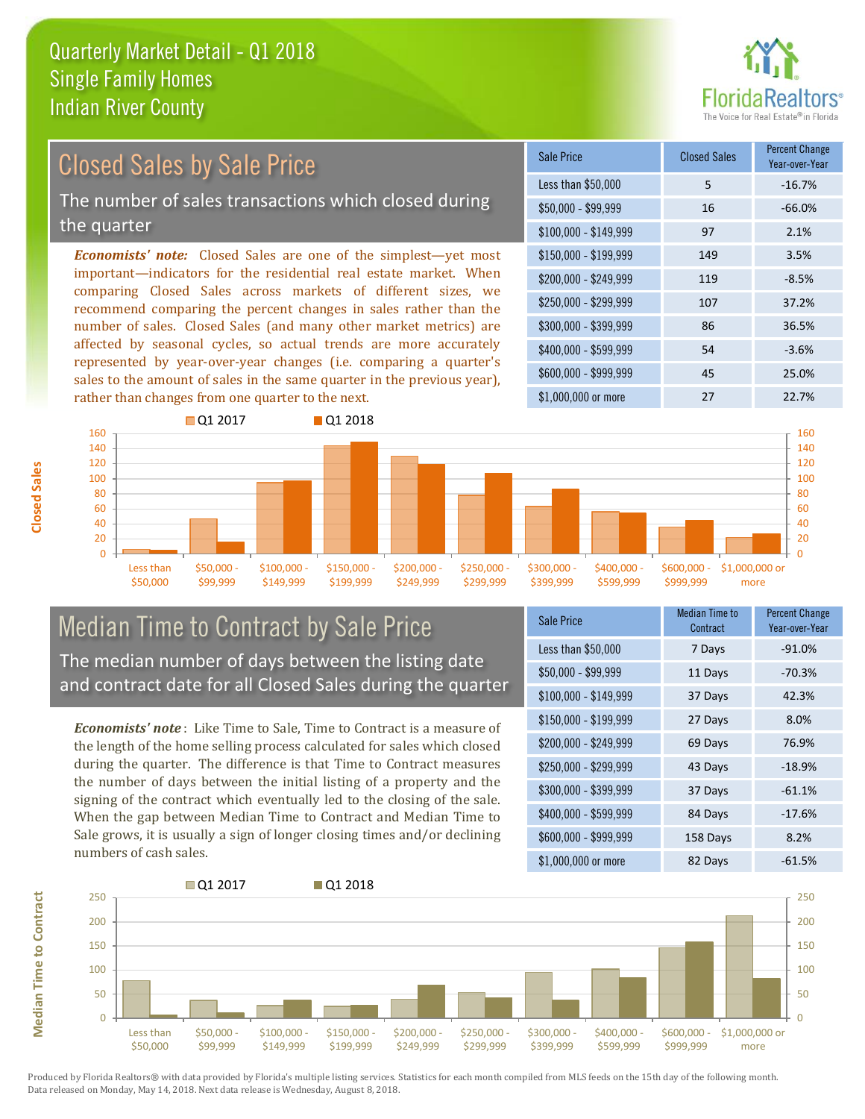

# Closed Sales by Sale Price

The number of sales transactions which closed during the quarter

*Economists' note:* Closed Sales are one of the simplest—yet most important—indicators for the residential real estate market. When comparing Closed Sales across markets of different sizes, we recommend comparing the percent changes in sales rather than the number of sales. Closed Sales (and many other market metrics) are affected by seasonal cycles, so actual trends are more accurately represented by year-over-year changes (i.e. comparing a quarter's sales to the amount of sales in the same quarter in the previous year), rather than changes from one quarter to the next.

| Sale Price            | <b>Closed Sales</b> | <b>Percent Change</b><br>Year-over-Year |
|-----------------------|---------------------|-----------------------------------------|
| Less than \$50,000    | 5                   | $-16.7%$                                |
| \$50,000 - \$99,999   | 16                  | $-66.0%$                                |
| $$100,000 - $149,999$ | 97                  | 2.1%                                    |
| \$150,000 - \$199,999 | 149                 | 3.5%                                    |
| \$200,000 - \$249,999 | 119                 | $-8.5%$                                 |
| \$250,000 - \$299,999 | 107                 | 37.2%                                   |
| \$300,000 - \$399,999 | 86                  | 36.5%                                   |
| \$400,000 - \$599,999 | 54                  | $-3.6%$                                 |
| \$600,000 - \$999,999 | 45                  | 25.0%                                   |
| \$1,000,000 or more   | 27                  | 22.7%                                   |



#### Median Time to Contract by Sale Price The median number of days between the listing date and contract date for all Closed Sales during the quarter

*Economists' note* : Like Time to Sale, Time to Contract is a measure of the length of the home selling process calculated for sales which closed during the quarter. The difference is that Time to Contract measures the number of days between the initial listing of a property and the signing of the contract which eventually led to the closing of the sale. When the gap between Median Time to Contract and Median Time to Sale grows, it is usually a sign of longer closing times and/or declining numbers of cash sales.

| <b>Sale Price</b>     | Median Time to<br>Contract | Percent Change<br>Year-over-Year |
|-----------------------|----------------------------|----------------------------------|
| Less than \$50,000    | 7 Days                     | $-91.0%$                         |
| $$50,000 - $99,999$   | 11 Days                    | $-70.3%$                         |
| $$100,000 - $149,999$ | 37 Days                    | 42.3%                            |
| $$150,000 - $199,999$ | 27 Days                    | 8.0%                             |
| \$200,000 - \$249,999 | 69 Days                    | 76.9%                            |
| \$250,000 - \$299,999 | 43 Days                    | $-18.9%$                         |
| \$300,000 - \$399,999 | 37 Days                    | $-61.1%$                         |
| \$400,000 - \$599,999 | 84 Days                    | $-17.6%$                         |
| \$600,000 - \$999,999 | 158 Days                   | 8.2%                             |
| \$1,000,000 or more   | 82 Days                    | $-61.5%$                         |



Produced by Florida Realtors® with data provided by Florida's multiple listing services. Statistics for each month compiled from MLS feeds on the 15th day of the following month. Data released on Monday, May 14, 2018. Next data release is Wednesday, August 8, 2018.

**Median Time to Contract**

**Median Time to Contract**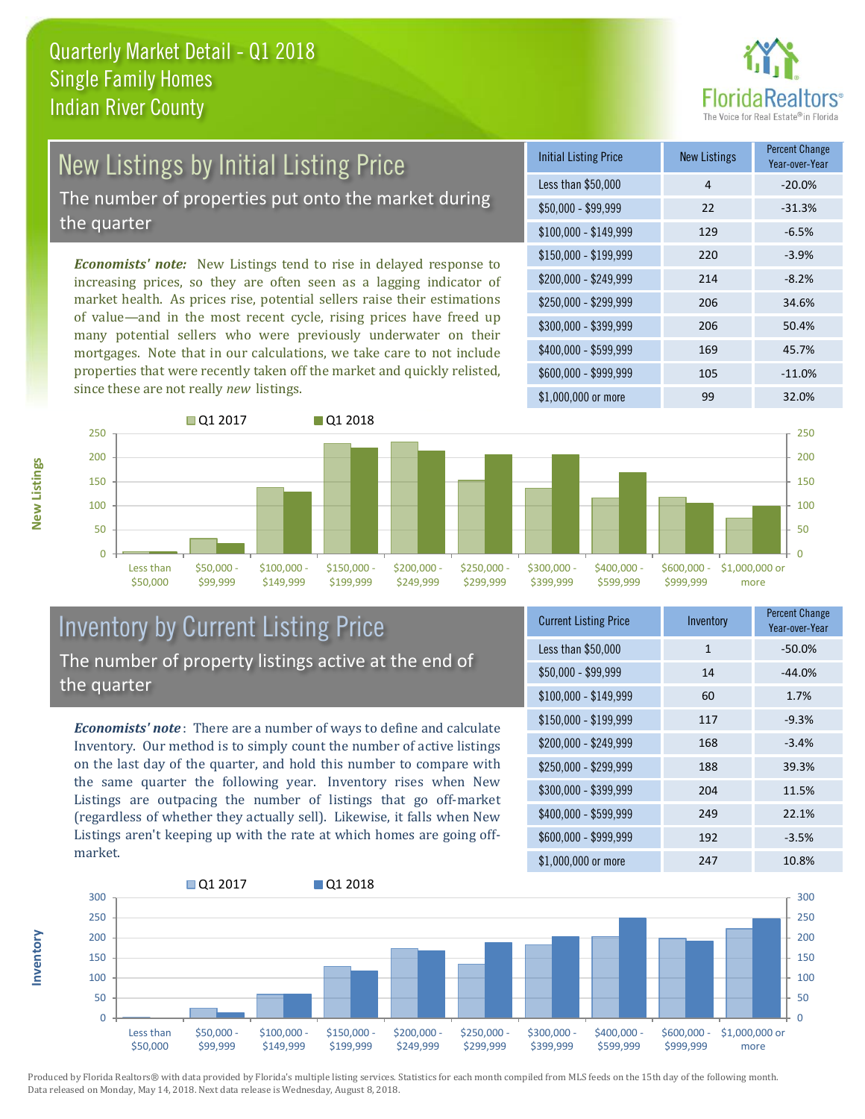

# New Listings by Initial Listing Price

The number of properties put onto the market during the quarter

*Economists' note:* New Listings tend to rise in delayed response to increasing prices, so they are often seen as a lagging indicator of market health. As prices rise, potential sellers raise their estimations of value—and in the most recent cycle, rising prices have freed up many potential sellers who were previously underwater on their mortgages. Note that in our calculations, we take care to not include properties that were recently taken off the market and quickly relisted, since these are not really *new* listings.

| <b>Initial Listing Price</b> | <b>New Listings</b> | <b>Percent Change</b><br>Year-over-Year |
|------------------------------|---------------------|-----------------------------------------|
| Less than \$50,000           | 4                   | $-20.0%$                                |
| \$50,000 - \$99,999          | 22                  | $-31.3%$                                |
| $$100,000 - $149,999$        | 129                 | $-6.5%$                                 |
| \$150,000 - \$199,999        | 220                 | $-3.9%$                                 |
| \$200,000 - \$249,999        | 214                 | $-8.2%$                                 |
| \$250,000 - \$299,999        | 206                 | 34.6%                                   |
| \$300,000 - \$399,999        | 206                 | 50.4%                                   |
| \$400,000 - \$599,999        | 169                 | 45.7%                                   |
| \$600,000 - \$999,999        | 105                 | $-11.0%$                                |
| \$1,000,000 or more          | 99                  | 32.0%                                   |



#### Inventory by Current Listing Price The number of property listings active at the end of the quarter

*Economists' note* : There are a number of ways to define and calculate Inventory. Our method is to simply count the number of active listings on the last day of the quarter, and hold this number to compare with the same quarter the following year. Inventory rises when New Listings are outpacing the number of listings that go off-market (regardless of whether they actually sell). Likewise, it falls when New Listings aren't keeping up with the rate at which homes are going offmarket.

| <b>Current Listing Price</b> | Inventory    | Percent Change<br>Year-over-Year |
|------------------------------|--------------|----------------------------------|
| Less than \$50,000           | $\mathbf{1}$ | $-50.0%$                         |
| $$50,000 - $99,999$          | 14           | $-44.0%$                         |
| $$100,000 - $149,999$        | 60           | 1.7%                             |
| $$150,000 - $199,999$        | 117          | $-9.3%$                          |
| $$200,000 - $249,999$        | 168          | $-3.4%$                          |
| \$250,000 - \$299,999        | 188          | 39.3%                            |
| \$300,000 - \$399,999        | 204          | 11.5%                            |
| \$400,000 - \$599,999        | 249          | 22.1%                            |
| \$600,000 - \$999,999        | 192          | $-3.5%$                          |
| \$1,000,000 or more          | 247          | 10.8%                            |



Produced by Florida Realtors® with data provided by Florida's multiple listing services. Statistics for each month compiled from MLS feeds on the 15th day of the following month. Data released on Monday, May 14, 2018. Next data release is Wednesday, August 8, 2018.

**Inventory**